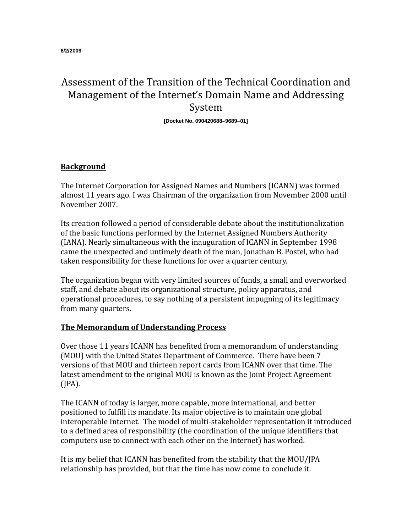# Assessment of the Transition of the Technical Coordination and Management of the Internet's Domain Name and Addressing System

**[Docket No. 090420688–9689–01]**

## **Background**

The Internet Corporation for Assigned Names and Numbers (ICANN) was formed almost 11 years ago. I was Chairman of the organization from November 2000 until November 2007.

Its creation followed a period of considerable debate about the institutionalization of the basic functions performed by the Internet Assigned Numbers Authority (IANA). Nearly simultaneous with the inauguration of ICANN in September 1998 came the unexpected and untimely death of the man, Jonathan B. Postel, who had taken responsibility for these functions for over a quarter century.

The organization began with very limited sources of funds, a small and overworked staff, and debate about its organizational structure, policy apparatus, and operational procedures, to say nothing of a persistent impugning of its legitimacy from many quarters.

## **The Memorandum of Understanding Process**

Over those 11 years ICANN has benefited from a memorandum of understanding (MOU) with the United States Department of Commerce. There have been 7 versions of that MOU and thirteen report cards from ICANN over that time. The latest amendment to the original MOU is known as the Joint Project Agreement (JPA).

The ICANN of today is larger, more capable, more international, and better positioned to fulfill its mandate. Its major objective is to maintain one global interoperable Internet. The model of multi-stakeholder representation it introduced to a defined area of responsibility (the coordination of the unique identifiers that computers use to connect with each other on the Internet) has worked.

It is my belief that ICANN has benefited from the stability that the MOU/JPA relationship has provided, but that the time has now come to conclude it.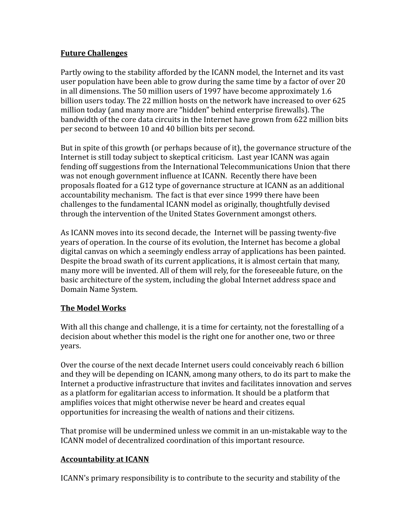## **Future Challenges**

Partly owing to the stability afforded by the ICANN model, the Internet and its vast user population have been able to grow during the same time by a factor of over 20 in all dimensions. The 50 million users of 1997 have become approximately 1.6 billion users today. The 22 million hosts on the network have increased to over 625 million today (and many more are "hidden" behind enterprise firewalls). The bandwidth of the core data circuits in the Internet have grown from 622 million bits per second to between 10 and 40 billion bits per second.

But in spite of this growth (or perhaps because of it), the governance structure of the Internet is still today subject to skeptical criticism. Last year ICANN was again fending off suggestions from the International Telecommunications Union that there was not enough government influence at ICANN. Recently there have been proposals floated for a G12 type of governance structure at ICANN as an additional accountability mechanism. The fact is that ever since 1999 there have been challenges to the fundamental ICANN model as originally, thoughtfully devised through the intervention of the United States Government amongst others.

As ICANN moves into its second decade, the Internet will be passing twenty-five years of operation. In the course of its evolution, the Internet has become a global digital canvas on which a seemingly endless array of applications has been painted. Despite the broad swath of its current applications, it is almost certain that many, many more will be invented. All of them will rely, for the foreseeable future, on the basic architecture of the system, including the global Internet address space and Domain Name System.

## **The Model Works**

With all this change and challenge, it is a time for certainty, not the forestalling of a decision about whether this model is the right one for another one, two or three years.

Over the course of the next decade Internet users could conceivably reach 6 billion and they will be depending on ICANN, among many others, to do its part to make the Internet a productive infrastructure that invites and facilitates innovation and serves as a platform for egalitarian access to information. It should be a platform that amplifies voices that might otherwise never be heard and creates equal opportunities for increasing the wealth of nations and their citizens.

That promise will be undermined unless we commit in an un-mistakable way to the ICANN model of decentralized coordination of this important resource.

## **Accountability at ICANN**

ICANN's primary responsibility is to contribute to the security and stability of the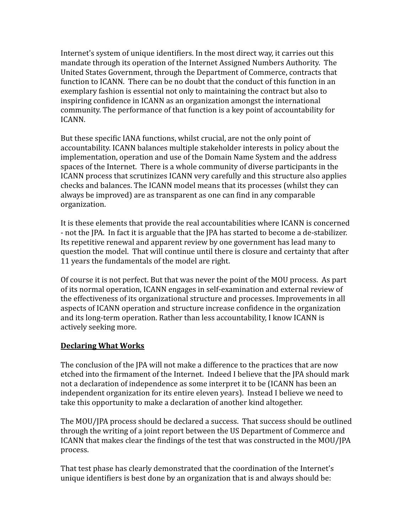Internet's system of unique identifiers. In the most direct way, it carries out this mandate through its operation of the Internet Assigned Numbers Authority. The United States Government, through the Department of Commerce, contracts that function to ICANN. There can be no doubt that the conduct of this function in an exemplary fashion is essential not only to maintaining the contract but also to inspiring confidence in ICANN as an organization amongst the international community. The performance of that function is a key point of accountability for ICANN.

But these specific IANA functions, whilst crucial, are not the only point of accountability. ICANN balances multiple stakeholder interests in policy about the implementation, operation and use of the Domain Name System and the address spaces of the Internet. There is a whole community of diverse participants in the ICANN process that scrutinizes ICANN very carefully and this structure also applies checks and balances. The ICANN model means that its processes (whilst they can always be improved) are as transparent as one can find in any comparable organization.

It is these elements that provide the real accountabilities where ICANN is concerned - not the JPA. In fact it is arguable that the JPA has started to become a de-stabilizer. Its repetitive renewal and apparent review by one government has lead many to question the model. That will continue until there is closure and certainty that after 11 years the fundamentals of the model are right.

Of course it is not perfect. But that was never the point of the MOU process. As part of its normal operation, ICANN engages in self-examination and external review of the effectiveness of its organizational structure and processes. Improvements in all aspects of ICANN operation and structure increase confidence in the organization and its long-term operation. Rather than less accountability, I know ICANN is actively seeking more.

## **Declaring What Works**

The conclusion of the JPA will not make a difference to the practices that are now etched into the firmament of the Internet. Indeed I believe that the JPA should mark not a declaration of independence as some interpret it to be (ICANN has been an independent organization for its entire eleven years). Instead I believe we need to take this opportunity to make a declaration of another kind altogether.

The MOU/JPA process should be declared a success. That success should be outlined through the writing of a joint report between the US Department of Commerce and ICANN that makes clear the findings of the test that was constructed in the MOU/JPA process.

That test phase has clearly demonstrated that the coordination of the Internet's unique identifiers is best done by an organization that is and always should be: